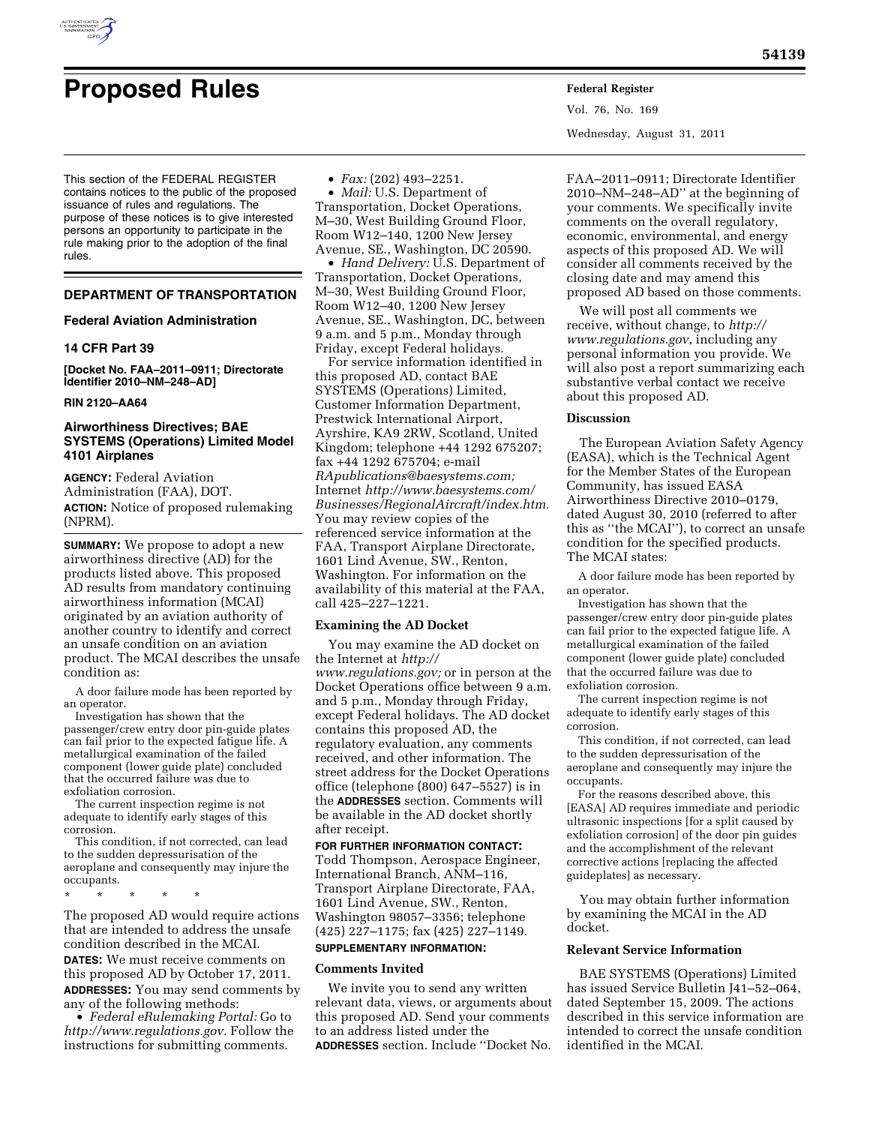

# **Proposed Rules Federal Register**

This section of the FEDERAL REGISTER contains notices to the public of the proposed issuance of rules and regulations. The purpose of these notices is to give interested persons an opportunity to participate in the rule making prior to the adoption of the final rules.

# **DEPARTMENT OF TRANSPORTATION**

## **Federal Aviation Administration**

## **14 CFR Part 39**

**[Docket No. FAA–2011–0911; Directorate Identifier 2010–NM–248–AD]** 

#### **RIN 2120–AA64**

# **Airworthiness Directives; BAE SYSTEMS (Operations) Limited Model 4101 Airplanes**

**AGENCY:** Federal Aviation Administration (FAA), DOT. **ACTION:** Notice of proposed rulemaking (NPRM).

**SUMMARY:** We propose to adopt a new airworthiness directive (AD) for the products listed above. This proposed AD results from mandatory continuing airworthiness information (MCAI) originated by an aviation authority of another country to identify and correct an unsafe condition on an aviation product. The MCAI describes the unsafe condition as:

A door failure mode has been reported by an operator.

Investigation has shown that the passenger/crew entry door pin-guide plates can fail prior to the expected fatigue life. A metallurgical examination of the failed component (lower guide plate) concluded that the occurred failure was due to exfoliation corrosion.

The current inspection regime is not adequate to identify early stages of this corrosion.

This condition, if not corrected, can lead to the sudden depressurisation of the aeroplane and consequently may injure the occupants.

\* \* \* \* \*

The proposed AD would require actions that are intended to address the unsafe condition described in the MCAI. **DATES:** We must receive comments on this proposed AD by October 17, 2011. **ADDRESSES:** You may send comments by any of the following methods:

• *Federal eRulemaking Portal:* Go to *[http://www.regulations.gov.](http://www.regulations.gov)* Follow the instructions for submitting comments.

• *Fax:* (202) 493–2251.

• *Mail:* U.S. Department of Transportation, Docket Operations, M–30, West Building Ground Floor, Room W12–140, 1200 New Jersey Avenue, SE., Washington, DC 20590.

• *Hand Delivery:* U.S. Department of Transportation, Docket Operations, M–30, West Building Ground Floor, Room W12–40, 1200 New Jersey Avenue, SE., Washington, DC, between 9 a.m. and 5 p.m., Monday through Friday, except Federal holidays.

For service information identified in this proposed AD, contact BAE SYSTEMS (Operations) Limited, Customer Information Department, Prestwick International Airport, Ayrshire, KA9 2RW, Scotland, United Kingdom; telephone +44 1292 675207; fax +44 1292 675704; e-mail *[RApublications@baesystems.com;](mailto:RApublications@baesystems.com)*  Internet *[http://www.baesystems.com/](http://www.baesystems.com/Businesses/RegionalAircraft/index.htm)  [Businesses/RegionalAircraft/index.htm.](http://www.baesystems.com/Businesses/RegionalAircraft/index.htm)*  You may review copies of the referenced service information at the FAA, Transport Airplane Directorate, 1601 Lind Avenue, SW., Renton, Washington. For information on the availability of this material at the FAA, call 425–227–1221.

## **Examining the AD Docket**

You may examine the AD docket on the Internet at *[http://](http://www.regulations.gov)  [www.regulations.gov;](http://www.regulations.gov)* or in person at the Docket Operations office between 9 a.m. and 5 p.m., Monday through Friday, except Federal holidays. The AD docket contains this proposed AD, the regulatory evaluation, any comments received, and other information. The street address for the Docket Operations office (telephone (800) 647–5527) is in the **ADDRESSES** section. Comments will be available in the AD docket shortly after receipt.

#### **FOR FURTHER INFORMATION CONTACT:**

Todd Thompson, Aerospace Engineer, International Branch, ANM–116, Transport Airplane Directorate, FAA, 1601 Lind Avenue, SW., Renton, Washington 98057–3356; telephone (425) 227–1175; fax (425) 227–1149.

# **SUPPLEMENTARY INFORMATION:**

# **Comments Invited**

We invite you to send any written relevant data, views, or arguments about this proposed AD. Send your comments to an address listed under the **ADDRESSES** section. Include ''Docket No.

Vol. 76, No. 169 Wednesday, August 31, 2011

FAA–2011–0911; Directorate Identifier 2010–NM–248–AD'' at the beginning of your comments. We specifically invite comments on the overall regulatory, economic, environmental, and energy aspects of this proposed AD. We will consider all comments received by the closing date and may amend this proposed AD based on those comments.

We will post all comments we receive, without change, to *[http://](http://www.regulations.gov) [www.regulations.gov](http://www.regulations.gov)*, including any personal information you provide. We will also post a report summarizing each substantive verbal contact we receive about this proposed AD.

## **Discussion**

The European Aviation Safety Agency (EASA), which is the Technical Agent for the Member States of the European Community, has issued EASA Airworthiness Directive 2010–0179, dated August 30, 2010 (referred to after this as ''the MCAI''), to correct an unsafe condition for the specified products. The MCAI states:

A door failure mode has been reported by an operator.

Investigation has shown that the passenger/crew entry door pin-guide plates can fail prior to the expected fatigue life. A metallurgical examination of the failed component (lower guide plate) concluded that the occurred failure was due to exfoliation corrosion.

The current inspection regime is not adequate to identify early stages of this corrosion.

This condition, if not corrected, can lead to the sudden depressurisation of the aeroplane and consequently may injure the occupants.

For the reasons described above, this [EASA] AD requires immediate and periodic ultrasonic inspections [for a split caused by exfoliation corrosion] of the door pin guides and the accomplishment of the relevant corrective actions [replacing the affected guideplates] as necessary.

You may obtain further information by examining the MCAI in the AD docket.

## **Relevant Service Information**

BAE SYSTEMS (Operations) Limited has issued Service Bulletin J41–52–064, dated September 15, 2009. The actions described in this service information are intended to correct the unsafe condition identified in the MCAI.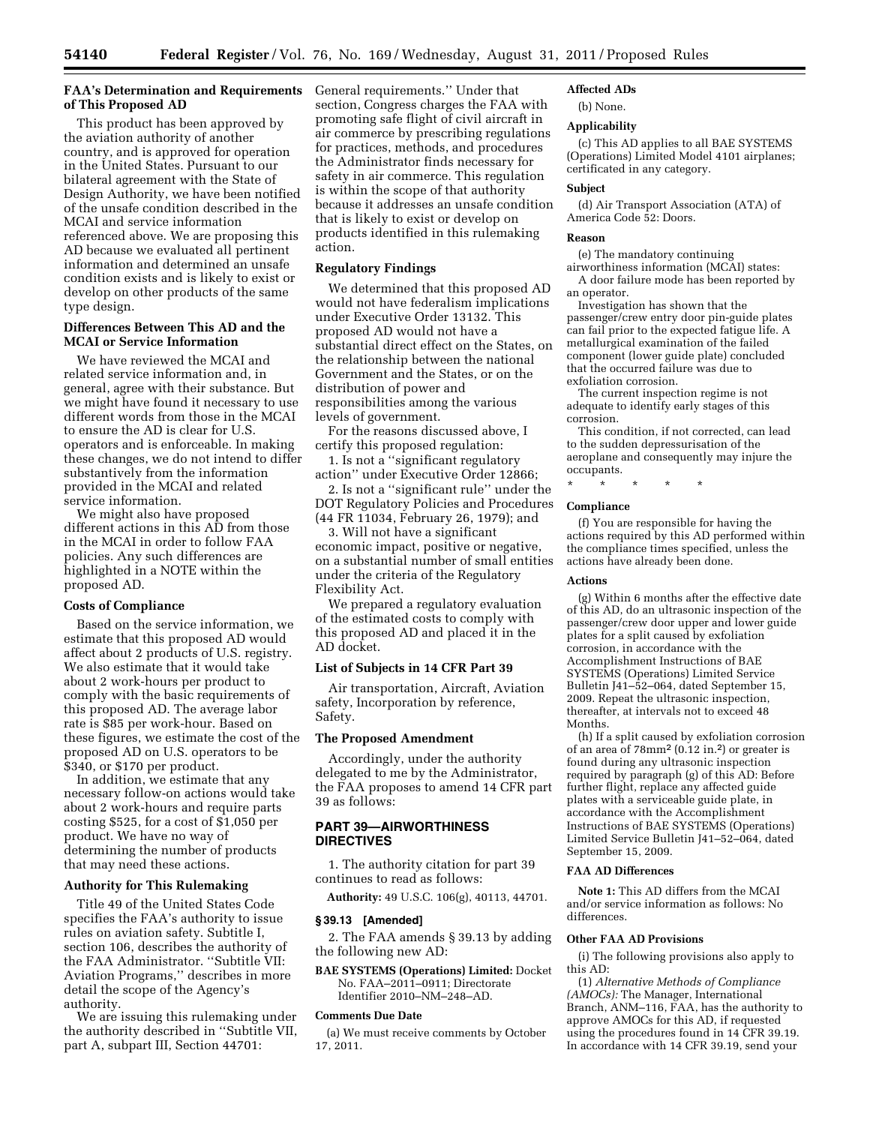## **FAA's Determination and Requirements**  General requirements.'' Under that **of This Proposed AD**

This product has been approved by the aviation authority of another country, and is approved for operation in the United States. Pursuant to our bilateral agreement with the State of Design Authority, we have been notified of the unsafe condition described in the MCAI and service information referenced above. We are proposing this AD because we evaluated all pertinent information and determined an unsafe condition exists and is likely to exist or develop on other products of the same type design.

# **Differences Between This AD and the MCAI or Service Information**

We have reviewed the MCAI and related service information and, in general, agree with their substance. But we might have found it necessary to use different words from those in the MCAI to ensure the AD is clear for U.S. operators and is enforceable. In making these changes, we do not intend to differ substantively from the information provided in the MCAI and related service information.

We might also have proposed different actions in this AD from those in the MCAI in order to follow FAA policies. Any such differences are highlighted in a NOTE within the proposed AD.

## **Costs of Compliance**

Based on the service information, we estimate that this proposed AD would affect about 2 products of U.S. registry. We also estimate that it would take about 2 work-hours per product to comply with the basic requirements of this proposed AD. The average labor rate is \$85 per work-hour. Based on these figures, we estimate the cost of the proposed AD on U.S. operators to be \$340, or \$170 per product.

In addition, we estimate that any necessary follow-on actions would take about 2 work-hours and require parts costing \$525, for a cost of \$1,050 per product. We have no way of determining the number of products that may need these actions.

## **Authority for This Rulemaking**

Title 49 of the United States Code specifies the FAA's authority to issue rules on aviation safety. Subtitle I, section 106, describes the authority of the FAA Administrator. ''Subtitle VII: Aviation Programs,'' describes in more detail the scope of the Agency's authority.

We are issuing this rulemaking under the authority described in ''Subtitle VII, part A, subpart III, Section 44701:

section, Congress charges the FAA with promoting safe flight of civil aircraft in air commerce by prescribing regulations for practices, methods, and procedures the Administrator finds necessary for safety in air commerce. This regulation is within the scope of that authority because it addresses an unsafe condition that is likely to exist or develop on products identified in this rulemaking action.

#### **Regulatory Findings**

We determined that this proposed AD would not have federalism implications under Executive Order 13132. This proposed AD would not have a substantial direct effect on the States, on the relationship between the national Government and the States, or on the distribution of power and responsibilities among the various levels of government.

For the reasons discussed above, I certify this proposed regulation:

1. Is not a ''significant regulatory action'' under Executive Order 12866;

2. Is not a ''significant rule'' under the DOT Regulatory Policies and Procedures (44 FR 11034, February 26, 1979); and

3. Will not have a significant economic impact, positive or negative, on a substantial number of small entities under the criteria of the Regulatory Flexibility Act.

We prepared a regulatory evaluation of the estimated costs to comply with this proposed AD and placed it in the AD docket.

## **List of Subjects in 14 CFR Part 39**

Air transportation, Aircraft, Aviation safety, Incorporation by reference, Safety.

## **The Proposed Amendment**

Accordingly, under the authority delegated to me by the Administrator, the FAA proposes to amend 14 CFR part 39 as follows:

# **PART 39—AIRWORTHINESS DIRECTIVES**

1. The authority citation for part 39 continues to read as follows:

**Authority:** 49 U.S.C. 106(g), 40113, 44701.

## **§ 39.13 [Amended]**

2. The FAA amends § 39.13 by adding the following new AD:

**BAE SYSTEMS (Operations) Limited:** Docket No. FAA–2011–0911; Directorate Identifier 2010–NM–248–AD.

## **Comments Due Date**

(a) We must receive comments by October 17, 2011.

## **Affected ADs**

(b) None.

#### **Applicability**

(c) This AD applies to all BAE SYSTEMS (Operations) Limited Model 4101 airplanes; certificated in any category.

#### **Subject**

(d) Air Transport Association (ATA) of America Code 52: Doors.

#### **Reason**

(e) The mandatory continuing airworthiness information (MCAI) states:

A door failure mode has been reported by an operator.

Investigation has shown that the passenger/crew entry door pin-guide plates can fail prior to the expected fatigue life. A metallurgical examination of the failed component (lower guide plate) concluded that the occurred failure was due to exfoliation corrosion.

The current inspection regime is not adequate to identify early stages of this corrosion.

This condition, if not corrected, can lead to the sudden depressurisation of the aeroplane and consequently may injure the occupants.

\* \* \* \* \*

## **Compliance**

(f) You are responsible for having the actions required by this AD performed within the compliance times specified, unless the actions have already been done.

#### **Actions**

(g) Within 6 months after the effective date of this AD, do an ultrasonic inspection of the passenger/crew door upper and lower guide plates for a split caused by exfoliation corrosion, in accordance with the Accomplishment Instructions of BAE SYSTEMS (Operations) Limited Service Bulletin J41–52–064, dated September 15, 2009. Repeat the ultrasonic inspection, thereafter, at intervals not to exceed 48 Months.

(h) If a split caused by exfoliation corrosion of an area of 78mm<sup>2</sup> (0.12 in.2) or greater is found during any ultrasonic inspection required by paragraph (g) of this AD: Before further flight, replace any affected guide plates with a serviceable guide plate, in accordance with the Accomplishment Instructions of BAE SYSTEMS (Operations) Limited Service Bulletin J41–52–064, dated September 15, 2009.

#### **FAA AD Differences**

**Note 1:** This AD differs from the MCAI and/or service information as follows: No differences.

#### **Other FAA AD Provisions**

(i) The following provisions also apply to this AD:

(1) *Alternative Methods of Compliance (AMOCs):* The Manager, International Branch, ANM–116, FAA, has the authority to approve AMOCs for this AD, if requested using the procedures found in 14 CFR 39.19. In accordance with 14 CFR 39.19, send your